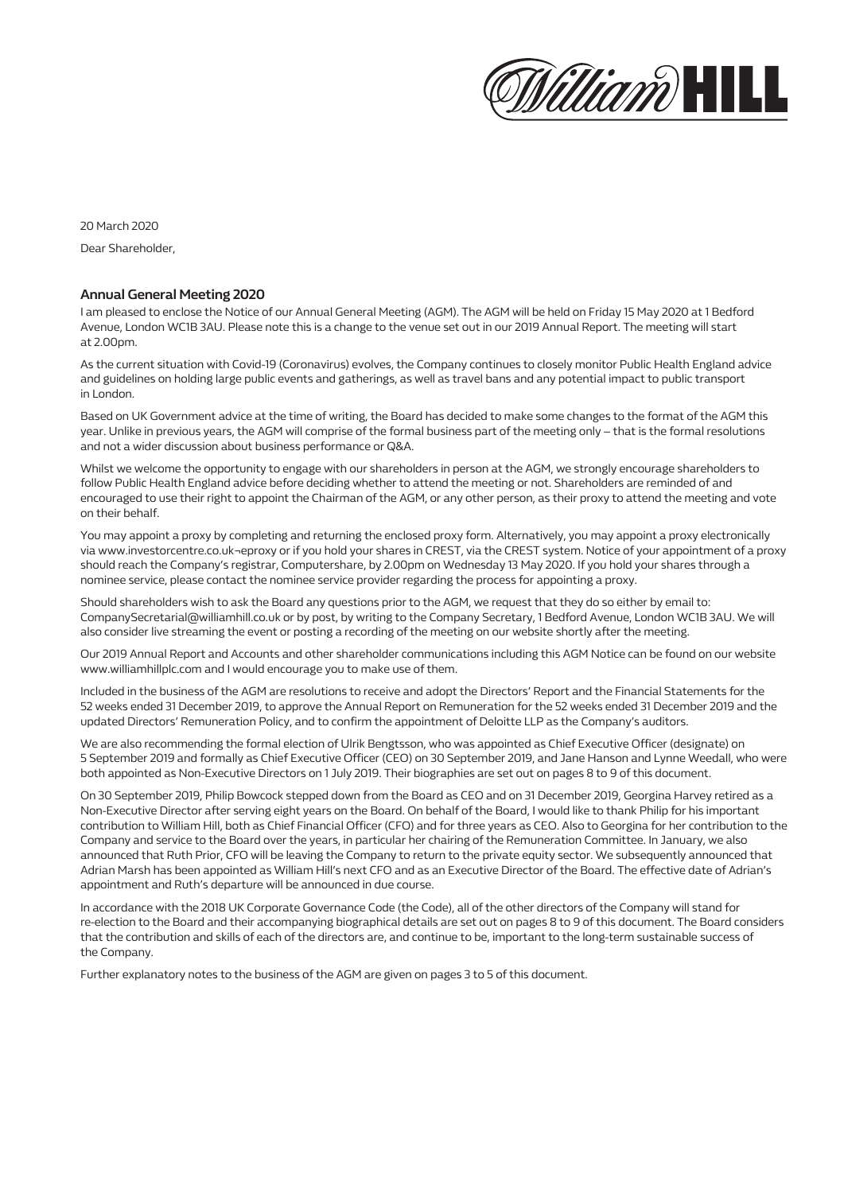

20 March 2020 Dear Shareholder,

#### **Annual General Meeting 2020**

I am pleased to enclose the Notice of our Annual General Meeting (AGM). The AGM will be held on Friday 15 May 2020 at 1 Bedford Avenue, London WC1B 3AU. Please note this is a change to the venue set out in our 2019 Annual Report. The meeting will start at 2.00pm.

As the current situation with Covid-19 (Coronavirus) evolves, the Company continues to closely monitor Public Health England advice and guidelines on holding large public events and gatherings, as well as travel bans and any potential impact to public transport in London.

Based on UK Government advice at the time of writing, the Board has decided to make some changes to the format of the AGM this year. Unlike in previous years, the AGM will comprise of the formal business part of the meeting only – that is the formal resolutions and not a wider discussion about business performance or Q&A.

Whilst we welcome the opportunity to engage with our shareholders in person at the AGM, we strongly encourage shareholders to follow Public Health England advice before deciding whether to attend the meeting or not. Shareholders are reminded of and encouraged to use their right to appoint the Chairman of the AGM, or any other person, as their proxy to attend the meeting and vote on their behalf.

You may appoint a proxy by completing and returning the enclosed proxy form. Alternatively, you may appoint a proxy electronically via www.investorcentre.co.uk¬eproxy or if you hold your shares in CREST, via the CREST system. Notice of your appointment of a proxy should reach the Company's registrar, Computershare, by 2.00pm on Wednesday 13 May 2020. If you hold your shares through a nominee service, please contact the nominee service provider regarding the process for appointing a proxy.

Should shareholders wish to ask the Board any questions prior to the AGM, we request that they do so either by email to: CompanySecretarial@williamhill.co.uk or by post, by writing to the Company Secretary, 1 Bedford Avenue, London WC1B 3AU. We will also consider live streaming the event or posting a recording of the meeting on our website shortly after the meeting.

Our 2019 Annual Report and Accounts and other shareholder communications including this AGM Notice can be found on our website www.williamhillplc.com and I would encourage you to make use of them.

Included in the business of the AGM are resolutions to receive and adopt the Directors' Report and the Financial Statements for the 52 weeks ended 31 December 2019, to approve the Annual Report on Remuneration for the 52 weeks ended 31 December 2019 and the updated Directors' Remuneration Policy, and to confirm the appointment of Deloitte LLP as the Company's auditors.

We are also recommending the formal election of Ulrik Bengtsson, who was appointed as Chief Executive Officer (designate) on 5 September 2019 and formally as Chief Executive Officer (CEO) on 30 September 2019, and Jane Hanson and Lynne Weedall, who were both appointed as Non-Executive Directors on 1 July 2019. Their biographies are set out on pages 8 to 9 of this document.

On 30 September 2019, Philip Bowcock stepped down from the Board as CEO and on 31 December 2019, Georgina Harvey retired as a Non-Executive Director after serving eight years on the Board. On behalf of the Board, I would like to thank Philip for his important contribution to William Hill, both as Chief Financial Officer (CFO) and for three years as CEO. Also to Georgina for her contribution to the Company and service to the Board over the years, in particular her chairing of the Remuneration Committee. In January, we also announced that Ruth Prior, CFO will be leaving the Company to return to the private equity sector. We subsequently announced that Adrian Marsh has been appointed as William Hill's next CFO and as an Executive Director of the Board. The effective date of Adrian's appointment and Ruth's departure will be announced in due course.

In accordance with the 2018 UK Corporate Governance Code (the Code), all of the other directors of the Company will stand for re-election to the Board and their accompanying biographical details are set out on pages 8 to 9 of this document. The Board considers that the contribution and skills of each of the directors are, and continue to be, important to the long-term sustainable success of the Company.

Further explanatory notes to the business of the AGM are given on pages 3 to 5 of this document.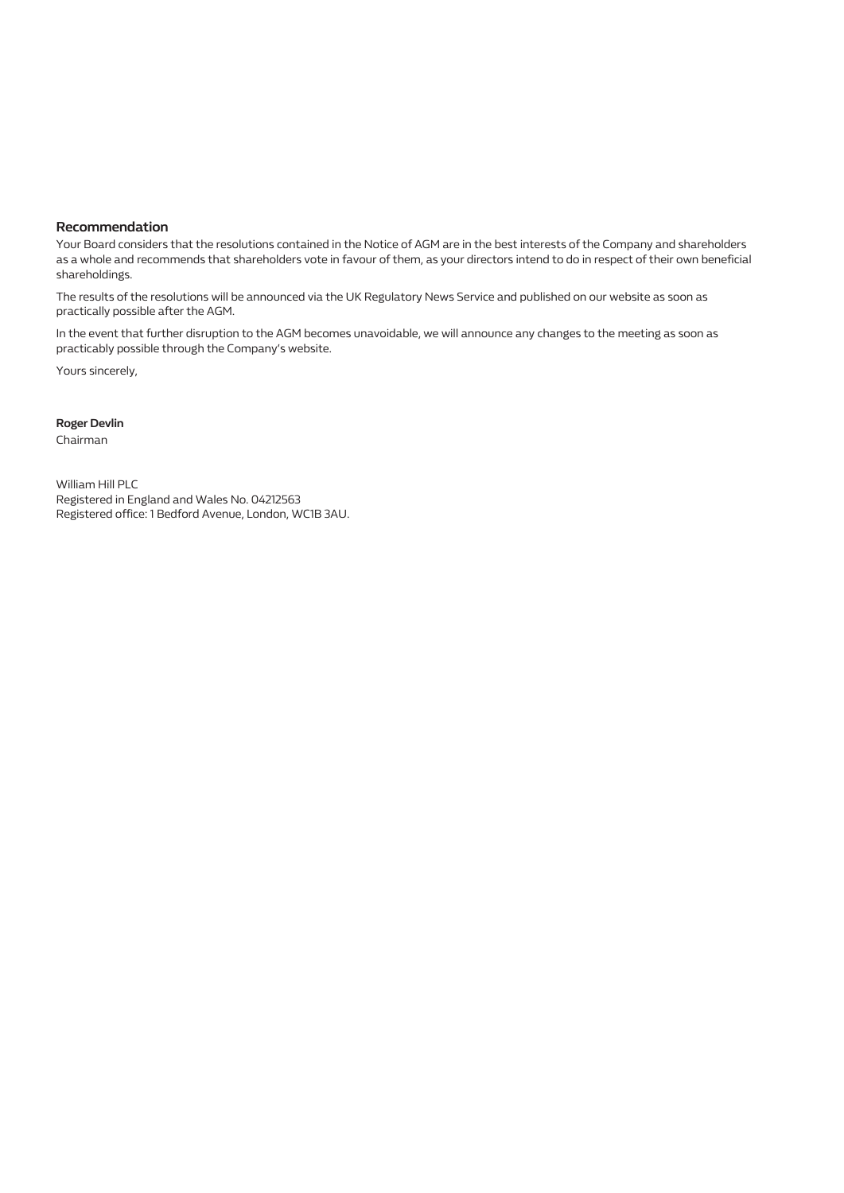#### **Recommendation**

Your Board considers that the resolutions contained in the Notice of AGM are in the best interests of the Company and shareholders as a whole and recommends that shareholders vote in favour of them, as your directors intend to do in respect of their own beneficial shareholdings.

The results of the resolutions will be announced via the UK Regulatory News Service and published on our website as soon as practically possible after the AGM.

In the event that further disruption to the AGM becomes unavoidable, we will announce any changes to the meeting as soon as practicably possible through the Company's website.

Yours sincerely,

**Roger Devlin**

Chairman

William Hill PLC Registered in England and Wales No. 04212563 Registered office: 1 Bedford Avenue, London, WC1B 3AU.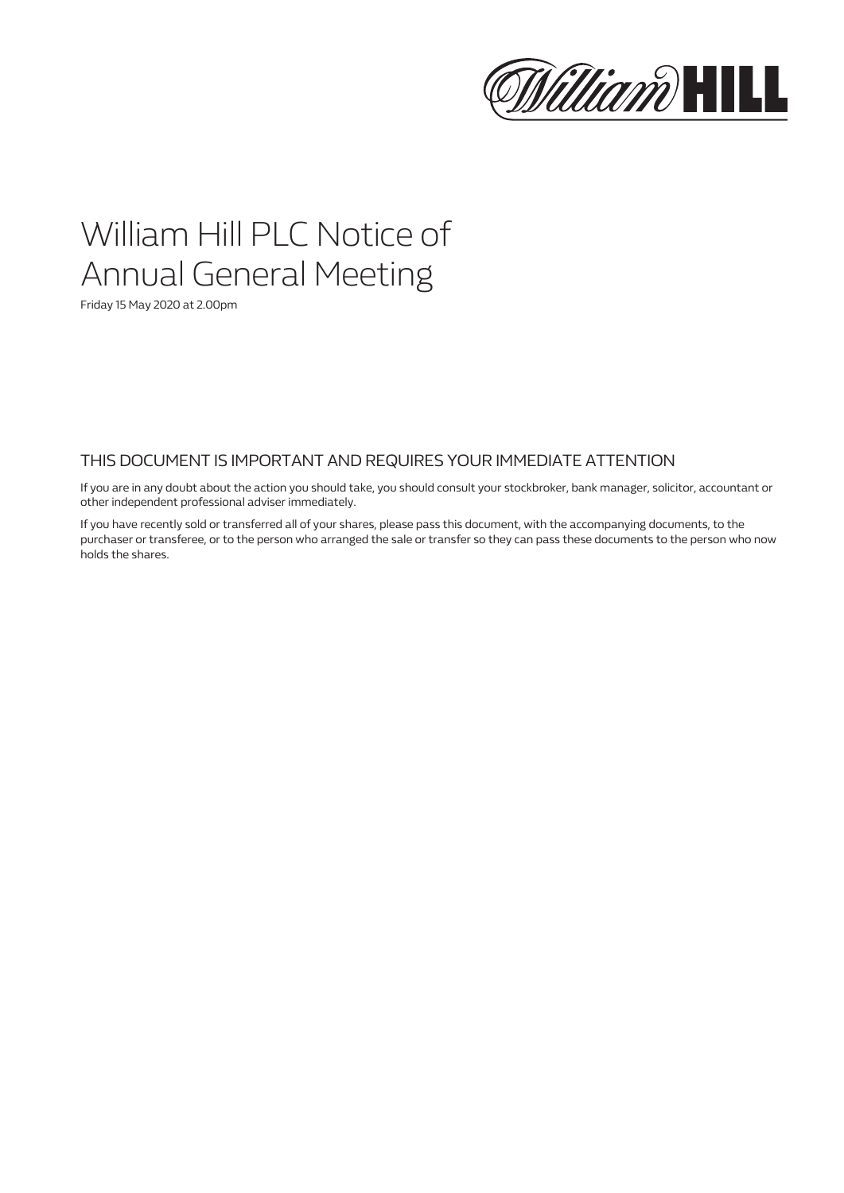

## William Hill PLC Notice of Annual General Meeting

Friday 15 May 2020 at 2.00pm

## THIS DOCUMENT IS IMPORTANT AND REQUIRES YOUR IMMEDIATE ATTENTION

If you are in any doubt about the action you should take, you should consult your stockbroker, bank manager, solicitor, accountant or other independent professional adviser immediately.

If you have recently sold or transferred all of your shares, please pass this document, with the accompanying documents, to the purchaser or transferee, or to the person who arranged the sale or transfer so they can pass these documents to the person who now holds the shares.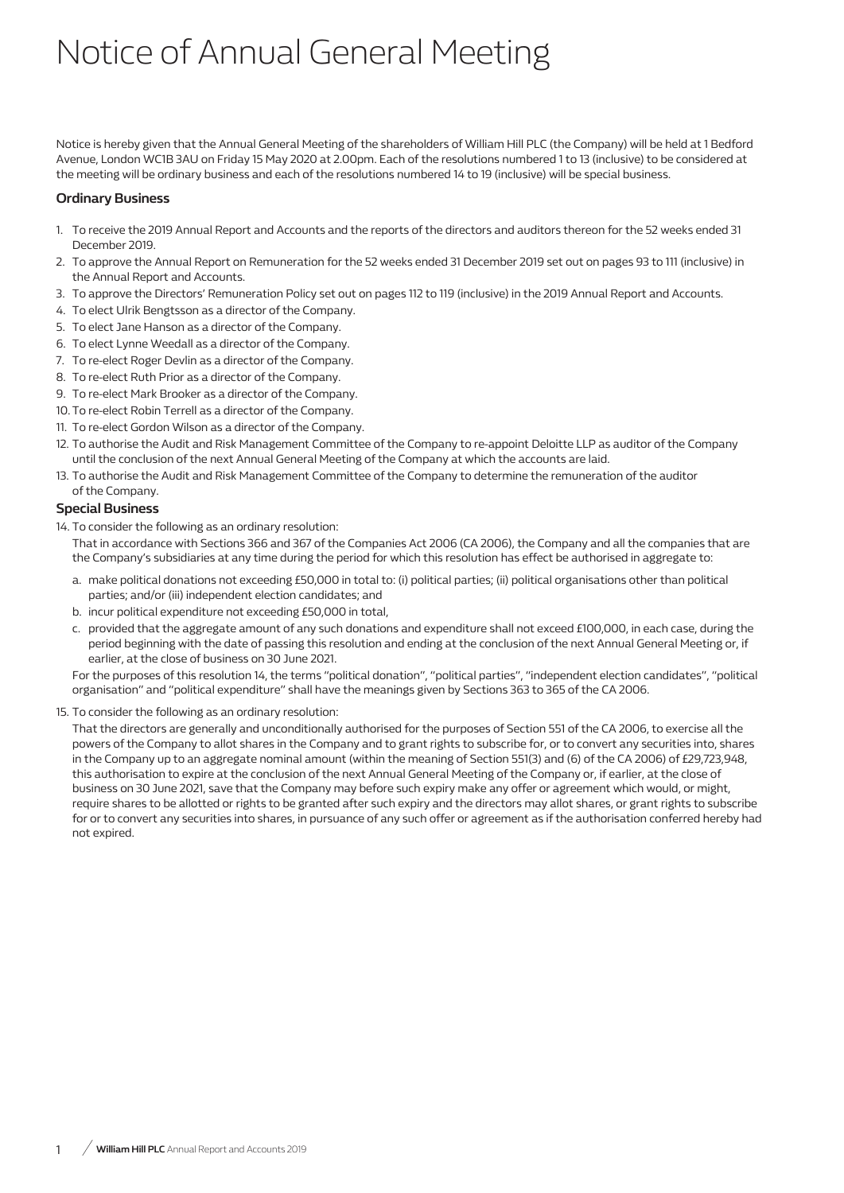# Notice of Annual General Meeting

Notice is hereby given that the Annual General Meeting of the shareholders of William Hill PLC (the Company) will be held at 1 Bedford Avenue, London WC1B 3AU on Friday 15 May 2020 at 2.00pm. Each of the resolutions numbered 1 to 13 (inclusive) to be considered at the meeting will be ordinary business and each of the resolutions numbered 14 to 19 (inclusive) will be special business.

## **Ordinary Business**

- 1. To receive the 2019 Annual Report and Accounts and the reports of the directors and auditors thereon for the 52 weeks ended 31 December 2019.
- 2. To approve the Annual Report on Remuneration for the 52 weeks ended 31 December 2019 set out on pages 93 to 111 (inclusive) in the Annual Report and Accounts.
- 3. To approve the Directors' Remuneration Policy set out on pages 112 to 119 (inclusive) in the 2019 Annual Report and Accounts.
- 4. To elect Ulrik Bengtsson as a director of the Company.
- 5. To elect Jane Hanson as a director of the Company.
- 6. To elect Lynne Weedall as a director of the Company.
- 7. To re-elect Roger Devlin as a director of the Company.
- 8. To re-elect Ruth Prior as a director of the Company.
- 9. To re-elect Mark Brooker as a director of the Company.
- 10. To re-elect Robin Terrell as a director of the Company.
- 11. To re-elect Gordon Wilson as a director of the Company.
- 12. To authorise the Audit and Risk Management Committee of the Company to re-appoint Deloitte LLP as auditor of the Company until the conclusion of the next Annual General Meeting of the Company at which the accounts are laid.
- 13. To authorise the Audit and Risk Management Committee of the Company to determine the remuneration of the auditor of the Company.

## **Special Business**

14. To consider the following as an ordinary resolution:

That in accordance with Sections 366 and 367 of the Companies Act 2006 (CA 2006), the Company and all the companies that are the Company's subsidiaries at any time during the period for which this resolution has effect be authorised in aggregate to:

- a. make political donations not exceeding £50,000 in total to: (i) political parties; (ii) political organisations other than political parties; and/or (iii) independent election candidates; and
- b. incur political expenditure not exceeding £50,000 in total,
- c. provided that the aggregate amount of any such donations and expenditure shall not exceed £100,000, in each case, during the period beginning with the date of passing this resolution and ending at the conclusion of the next Annual General Meeting or, if earlier, at the close of business on 30 June 2021.

For the purposes of this resolution 14, the terms "political donation", "political parties", "independent election candidates", "political organisation" and "political expenditure" shall have the meanings given by Sections 363 to 365 of the CA 2006.

15. To consider the following as an ordinary resolution:

That the directors are generally and unconditionally authorised for the purposes of Section 551 of the CA 2006, to exercise all the powers of the Company to allot shares in the Company and to grant rights to subscribe for, or to convert any securities into, shares in the Company up to an aggregate nominal amount (within the meaning of Section 551(3) and (6) of the CA 2006) of £29,723,948, this authorisation to expire at the conclusion of the next Annual General Meeting of the Company or, if earlier, at the close of business on 30 June 2021, save that the Company may before such expiry make any offer or agreement which would, or might, require shares to be allotted or rights to be granted after such expiry and the directors may allot shares, or grant rights to subscribe for or to convert any securities into shares, in pursuance of any such offer or agreement as if the authorisation conferred hereby had not expired.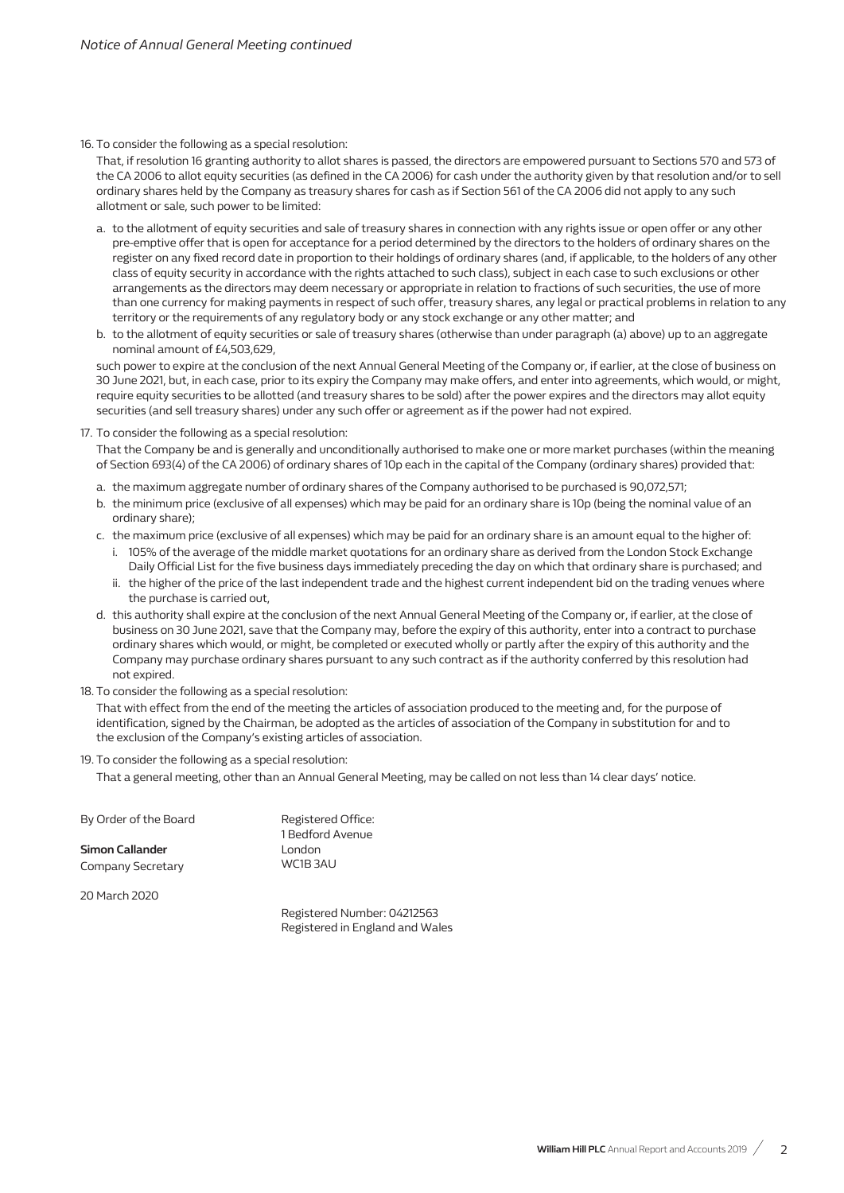#### 16. To consider the following as a special resolution:

That, if resolution 16 granting authority to allot shares is passed, the directors are empowered pursuant to Sections 570 and 573 of the CA 2006 to allot equity securities (as defined in the CA 2006) for cash under the authority given by that resolution and/or to sell ordinary shares held by the Company as treasury shares for cash as if Section 561 of the CA 2006 did not apply to any such allotment or sale, such power to be limited:

- a. to the allotment of equity securities and sale of treasury shares in connection with any rights issue or open offer or any other pre-emptive offer that is open for acceptance for a period determined by the directors to the holders of ordinary shares on the register on any fixed record date in proportion to their holdings of ordinary shares (and, if applicable, to the holders of any other class of equity security in accordance with the rights attached to such class), subject in each case to such exclusions or other arrangements as the directors may deem necessary or appropriate in relation to fractions of such securities, the use of more than one currency for making payments in respect of such offer, treasury shares, any legal or practical problems in relation to any territory or the requirements of any regulatory body or any stock exchange or any other matter; and
- b. to the allotment of equity securities or sale of treasury shares (otherwise than under paragraph (a) above) up to an aggregate nominal amount of £4,503,629,

such power to expire at the conclusion of the next Annual General Meeting of the Company or, if earlier, at the close of business on 30 June 2021, but, in each case, prior to its expiry the Company may make offers, and enter into agreements, which would, or might, require equity securities to be allotted (and treasury shares to be sold) after the power expires and the directors may allot equity securities (and sell treasury shares) under any such offer or agreement as if the power had not expired.

17. To consider the following as a special resolution:

That the Company be and is generally and unconditionally authorised to make one or more market purchases (within the meaning of Section 693(4) of the CA 2006) of ordinary shares of 10p each in the capital of the Company (ordinary shares) provided that:

- a. the maximum aggregate number of ordinary shares of the Company authorised to be purchased is 90,072,571;
- b. the minimum price (exclusive of all expenses) which may be paid for an ordinary share is 10p (being the nominal value of an ordinary share);
- c. the maximum price (exclusive of all expenses) which may be paid for an ordinary share is an amount equal to the higher of:
	- i. 105% of the average of the middle market quotations for an ordinary share as derived from the London Stock Exchange Daily Official List for the five business days immediately preceding the day on which that ordinary share is purchased; and
	- ii. the higher of the price of the last independent trade and the highest current independent bid on the trading venues where the purchase is carried out,
- d. this authority shall expire at the conclusion of the next Annual General Meeting of the Company or, if earlier, at the close of business on 30 June 2021, save that the Company may, before the expiry of this authority, enter into a contract to purchase ordinary shares which would, or might, be completed or executed wholly or partly after the expiry of this authority and the Company may purchase ordinary shares pursuant to any such contract as if the authority conferred by this resolution had not expired.
- 18. To consider the following as a special resolution:

That with effect from the end of the meeting the articles of association produced to the meeting and, for the purpose of identification, signed by the Chairman, be adopted as the articles of association of the Company in substitution for and to the exclusion of the Company's existing articles of association.

19. To consider the following as a special resolution:

That a general meeting, other than an Annual General Meeting, may be called on not less than 14 clear days' notice.

| By Order of the Board  | Registered Office:<br>1 Bedford Avenue |
|------------------------|----------------------------------------|
| <b>Simon Callander</b> | London                                 |
| Company Secretary      | WC1B3AU                                |

20 March 2020

Registered Number: 04212563 Registered in England and Wales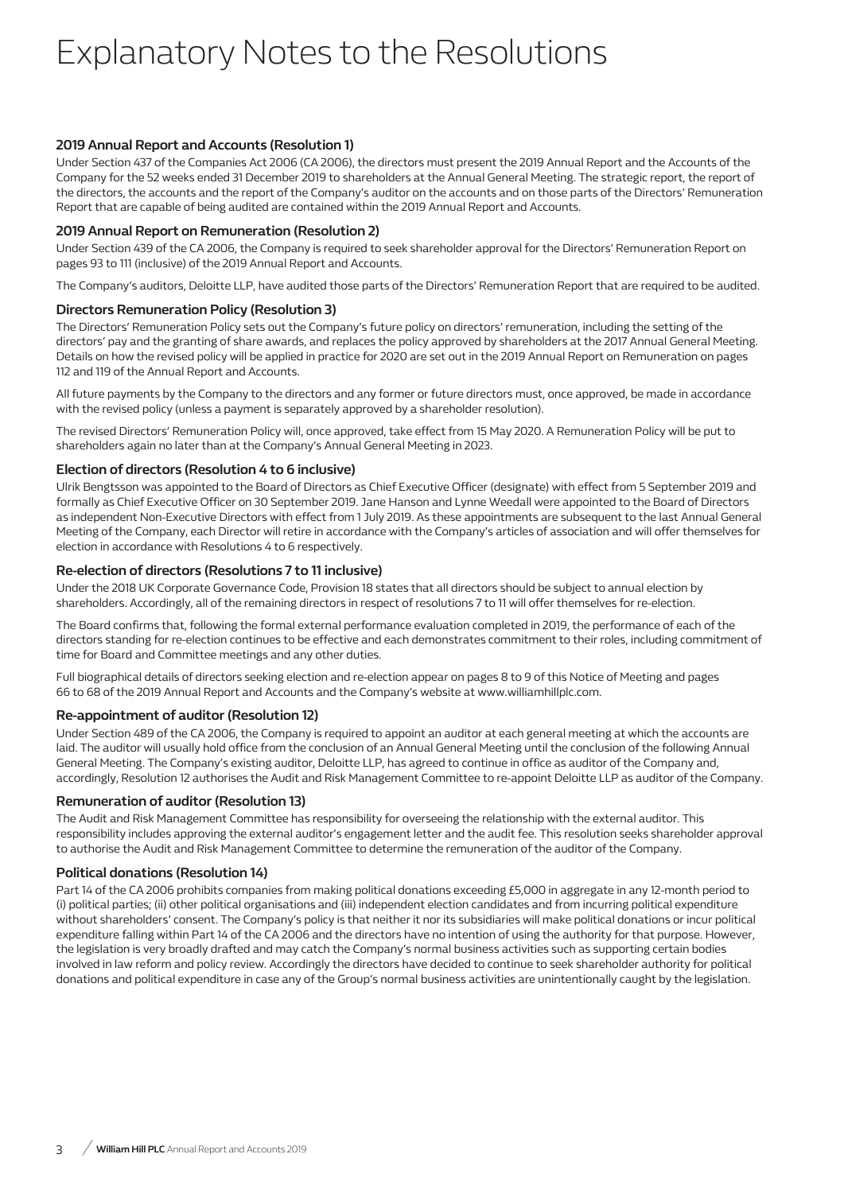## Explanatory Notes to the Resolutions

## **2019 Annual Report and Accounts (Resolution 1)**

Under Section 437 of the Companies Act 2006 (CA 2006), the directors must present the 2019 Annual Report and the Accounts of the Company for the 52 weeks ended 31 December 2019 to shareholders at the Annual General Meeting. The strategic report, the report of the directors, the accounts and the report of the Company's auditor on the accounts and on those parts of the Directors' Remuneration Report that are capable of being audited are contained within the 2019 Annual Report and Accounts.

### **2019 Annual Report on Remuneration (Resolution 2)**

Under Section 439 of the CA 2006, the Company is required to seek shareholder approval for the Directors' Remuneration Report on pages 93 to 111 (inclusive) of the 2019 Annual Report and Accounts.

The Company's auditors, Deloitte LLP, have audited those parts of the Directors' Remuneration Report that are required to be audited.

## **Directors Remuneration Policy (Resolution 3)**

The Directors' Remuneration Policy sets out the Company's future policy on directors' remuneration, including the setting of the directors' pay and the granting of share awards, and replaces the policy approved by shareholders at the 2017 Annual General Meeting. Details on how the revised policy will be applied in practice for 2020 are set out in the 2019 Annual Report on Remuneration on pages 112 and 119 of the Annual Report and Accounts.

All future payments by the Company to the directors and any former or future directors must, once approved, be made in accordance with the revised policy (unless a payment is separately approved by a shareholder resolution).

The revised Directors' Remuneration Policy will, once approved, take effect from 15 May 2020. A Remuneration Policy will be put to shareholders again no later than at the Company's Annual General Meeting in 2023.

### **Election of directors (Resolution 4 to 6 inclusive)**

Ulrik Bengtsson was appointed to the Board of Directors as Chief Executive Officer (designate) with effect from 5 September 2019 and formally as Chief Executive Officer on 30 September 2019. Jane Hanson and Lynne Weedall were appointed to the Board of Directors as independent Non-Executive Directors with effect from 1 July 2019. As these appointments are subsequent to the last Annual General Meeting of the Company, each Director will retire in accordance with the Company's articles of association and will offer themselves for election in accordance with Resolutions 4 to 6 respectively.

### **Re-election of directors (Resolutions 7 to 11 inclusive)**

Under the 2018 UK Corporate Governance Code, Provision 18 states that all directors should be subject to annual election by shareholders. Accordingly, all of the remaining directors in respect of resolutions 7 to 11 will offer themselves for re-election.

The Board confirms that, following the formal external performance evaluation completed in 2019, the performance of each of the directors standing for re-election continues to be effective and each demonstrates commitment to their roles, including commitment of time for Board and Committee meetings and any other duties.

Full biographical details of directors seeking election and re-election appear on pages 8 to 9 of this Notice of Meeting and pages 66 to 68 of the 2019 Annual Report and Accounts and the Company's website at www.williamhillplc.com.

## **Re-appointment of auditor (Resolution 12)**

Under Section 489 of the CA 2006, the Company is required to appoint an auditor at each general meeting at which the accounts are laid. The auditor will usually hold office from the conclusion of an Annual General Meeting until the conclusion of the following Annual General Meeting. The Company's existing auditor, Deloitte LLP, has agreed to continue in office as auditor of the Company and, accordingly, Resolution 12 authorises the Audit and Risk Management Committee to re-appoint Deloitte LLP as auditor of the Company.

#### **Remuneration of auditor (Resolution 13)**

The Audit and Risk Management Committee has responsibility for overseeing the relationship with the external auditor. This responsibility includes approving the external auditor's engagement letter and the audit fee. This resolution seeks shareholder approval to authorise the Audit and Risk Management Committee to determine the remuneration of the auditor of the Company.

## **Political donations (Resolution 14)**

Part 14 of the CA 2006 prohibits companies from making political donations exceeding £5,000 in aggregate in any 12-month period to (i) political parties; (ii) other political organisations and (iii) independent election candidates and from incurring political expenditure without shareholders' consent. The Company's policy is that neither it nor its subsidiaries will make political donations or incur political expenditure falling within Part 14 of the CA 2006 and the directors have no intention of using the authority for that purpose. However, the legislation is very broadly drafted and may catch the Company's normal business activities such as supporting certain bodies involved in law reform and policy review. Accordingly the directors have decided to continue to seek shareholder authority for political donations and political expenditure in case any of the Group's normal business activities are unintentionally caught by the legislation.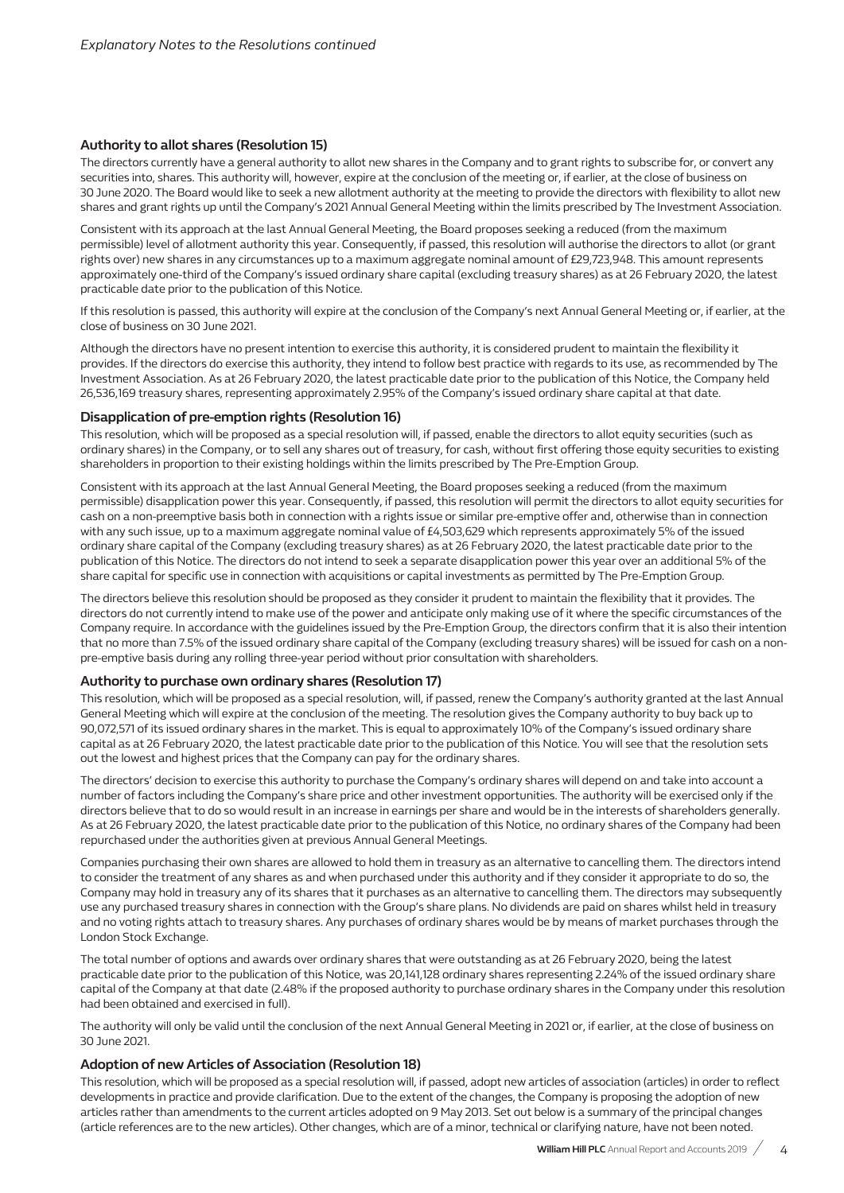#### **Authority to allot shares (Resolution 15)**

The directors currently have a general authority to allot new shares in the Company and to grant rights to subscribe for, or convert any securities into, shares. This authority will, however, expire at the conclusion of the meeting or, if earlier, at the close of business on 30 June 2020. The Board would like to seek a new allotment authority at the meeting to provide the directors with flexibility to allot new shares and grant rights up until the Company's 2021 Annual General Meeting within the limits prescribed by The Investment Association.

Consistent with its approach at the last Annual General Meeting, the Board proposes seeking a reduced (from the maximum permissible) level of allotment authority this year. Consequently, if passed, this resolution will authorise the directors to allot (or grant rights over) new shares in any circumstances up to a maximum aggregate nominal amount of £29,723,948. This amount represents approximately one-third of the Company's issued ordinary share capital (excluding treasury shares) as at 26 February 2020, the latest practicable date prior to the publication of this Notice.

If this resolution is passed, this authority will expire at the conclusion of the Company's next Annual General Meeting or, if earlier, at the close of business on 30 June 2021.

Although the directors have no present intention to exercise this authority, it is considered prudent to maintain the flexibility it provides. If the directors do exercise this authority, they intend to follow best practice with regards to its use, as recommended by The Investment Association. As at 26 February 2020, the latest practicable date prior to the publication of this Notice, the Company held 26,536,169 treasury shares, representing approximately 2.95% of the Company's issued ordinary share capital at that date.

#### **Disapplication of pre-emption rights (Resolution 16)**

This resolution, which will be proposed as a special resolution will, if passed, enable the directors to allot equity securities (such as ordinary shares) in the Company, or to sell any shares out of treasury, for cash, without first offering those equity securities to existing shareholders in proportion to their existing holdings within the limits prescribed by The Pre-Emption Group.

Consistent with its approach at the last Annual General Meeting, the Board proposes seeking a reduced (from the maximum permissible) disapplication power this year. Consequently, if passed, this resolution will permit the directors to allot equity securities for cash on a non-preemptive basis both in connection with a rights issue or similar pre-emptive offer and, otherwise than in connection with any such issue, up to a maximum aggregate nominal value of £4,503,629 which represents approximately 5% of the issued ordinary share capital of the Company (excluding treasury shares) as at 26 February 2020, the latest practicable date prior to the publication of this Notice. The directors do not intend to seek a separate disapplication power this year over an additional 5% of the share capital for specific use in connection with acquisitions or capital investments as permitted by The Pre-Emption Group.

The directors believe this resolution should be proposed as they consider it prudent to maintain the flexibility that it provides. The directors do not currently intend to make use of the power and anticipate only making use of it where the specific circumstances of the Company require. In accordance with the guidelines issued by the Pre-Emption Group, the directors confirm that it is also their intention that no more than 7.5% of the issued ordinary share capital of the Company (excluding treasury shares) will be issued for cash on a nonpre-emptive basis during any rolling three-year period without prior consultation with shareholders.

#### **Authority to purchase own ordinary shares (Resolution 17)**

This resolution, which will be proposed as a special resolution, will, if passed, renew the Company's authority granted at the last Annual General Meeting which will expire at the conclusion of the meeting. The resolution gives the Company authority to buy back up to 90,072,571 of its issued ordinary shares in the market. This is equal to approximately 10% of the Company's issued ordinary share capital as at 26 February 2020, the latest practicable date prior to the publication of this Notice. You will see that the resolution sets out the lowest and highest prices that the Company can pay for the ordinary shares.

The directors' decision to exercise this authority to purchase the Company's ordinary shares will depend on and take into account a number of factors including the Company's share price and other investment opportunities. The authority will be exercised only if the directors believe that to do so would result in an increase in earnings per share and would be in the interests of shareholders generally. As at 26 February 2020, the latest practicable date prior to the publication of this Notice, no ordinary shares of the Company had been repurchased under the authorities given at previous Annual General Meetings.

Companies purchasing their own shares are allowed to hold them in treasury as an alternative to cancelling them. The directors intend to consider the treatment of any shares as and when purchased under this authority and if they consider it appropriate to do so, the Company may hold in treasury any of its shares that it purchases as an alternative to cancelling them. The directors may subsequently use any purchased treasury shares in connection with the Group's share plans. No dividends are paid on shares whilst held in treasury and no voting rights attach to treasury shares. Any purchases of ordinary shares would be by means of market purchases through the London Stock Exchange.

The total number of options and awards over ordinary shares that were outstanding as at 26 February 2020, being the latest practicable date prior to the publication of this Notice, was 20,141,128 ordinary shares representing 2.24% of the issued ordinary share capital of the Company at that date (2.48% if the proposed authority to purchase ordinary shares in the Company under this resolution had been obtained and exercised in full).

The authority will only be valid until the conclusion of the next Annual General Meeting in 2021 or, if earlier, at the close of business on 30 June 2021.

#### **Adoption of new Articles of Association (Resolution 18)**

This resolution, which will be proposed as a special resolution will, if passed, adopt new articles of association (articles) in order to reflect developments in practice and provide clarification. Due to the extent of the changes, the Company is proposing the adoption of new articles rather than amendments to the current articles adopted on 9 May 2013. Set out below is a summary of the principal changes (article references are to the new articles). Other changes, which are of a minor, technical or clarifying nature, have not been noted.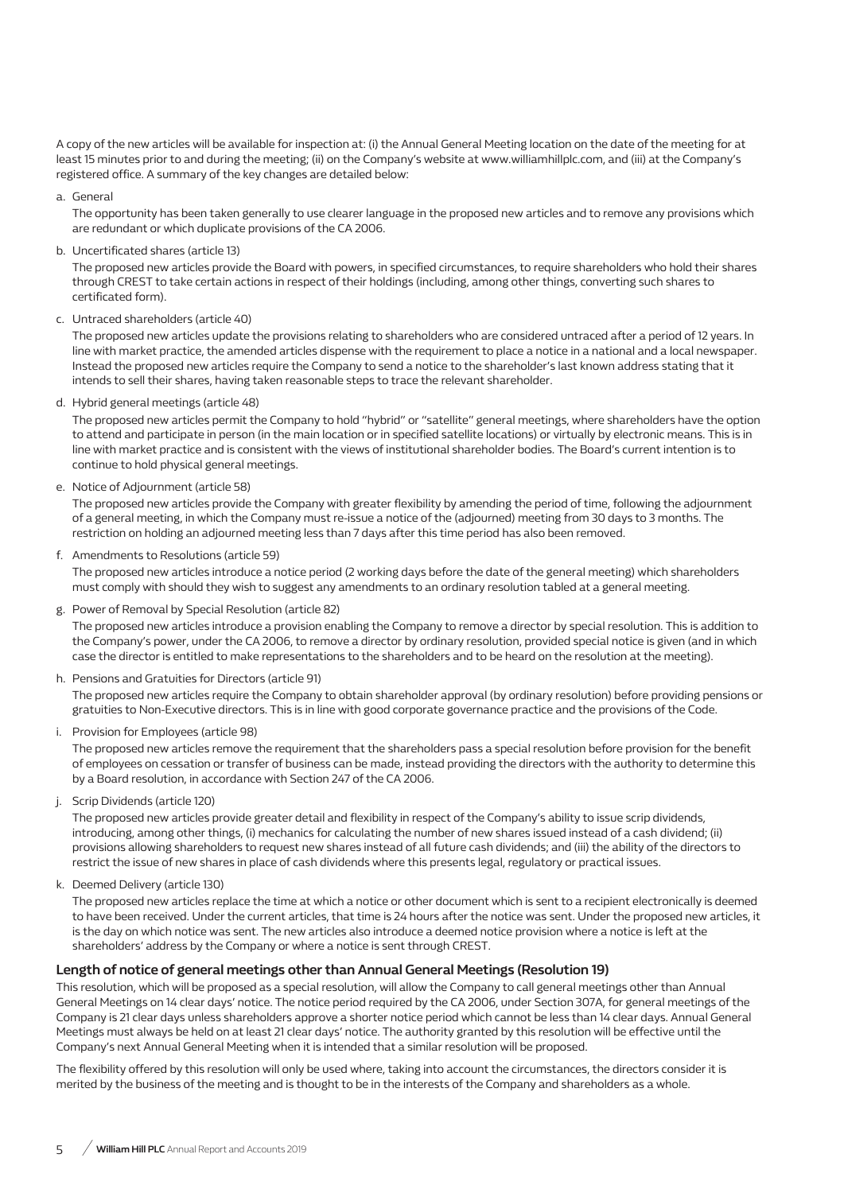A copy of the new articles will be available for inspection at: (i) the Annual General Meeting location on the date of the meeting for at least 15 minutes prior to and during the meeting; (ii) on the Company's website at www.williamhillplc.com, and (iii) at the Company's registered office. A summary of the key changes are detailed below:

#### a. General

The opportunity has been taken generally to use clearer language in the proposed new articles and to remove any provisions which are redundant or which duplicate provisions of the CA 2006.

b. Uncertificated shares (article 13)

The proposed new articles provide the Board with powers, in specified circumstances, to require shareholders who hold their shares through CREST to take certain actions in respect of their holdings (including, among other things, converting such shares to certificated form).

c. Untraced shareholders (article 40)

The proposed new articles update the provisions relating to shareholders who are considered untraced after a period of 12 years. In line with market practice, the amended articles dispense with the requirement to place a notice in a national and a local newspaper. Instead the proposed new articles require the Company to send a notice to the shareholder's last known address stating that it intends to sell their shares, having taken reasonable steps to trace the relevant shareholder.

d. Hybrid general meetings (article 48)

The proposed new articles permit the Company to hold "hybrid" or "satellite" general meetings, where shareholders have the option to attend and participate in person (in the main location or in specified satellite locations) or virtually by electronic means. This is in line with market practice and is consistent with the views of institutional shareholder bodies. The Board's current intention is to continue to hold physical general meetings.

e. Notice of Adjournment (article 58)

The proposed new articles provide the Company with greater flexibility by amending the period of time, following the adjournment of a general meeting, in which the Company must re-issue a notice of the (adjourned) meeting from 30 days to 3 months. The restriction on holding an adjourned meeting less than 7 days after this time period has also been removed.

f. Amendments to Resolutions (article 59)

The proposed new articles introduce a notice period (2 working days before the date of the general meeting) which shareholders must comply with should they wish to suggest any amendments to an ordinary resolution tabled at a general meeting.

g. Power of Removal by Special Resolution (article 82)

The proposed new articles introduce a provision enabling the Company to remove a director by special resolution. This is addition to the Company's power, under the CA 2006, to remove a director by ordinary resolution, provided special notice is given (and in which case the director is entitled to make representations to the shareholders and to be heard on the resolution at the meeting).

h. Pensions and Gratuities for Directors (article 91)

The proposed new articles require the Company to obtain shareholder approval (by ordinary resolution) before providing pensions or gratuities to Non-Executive directors. This is in line with good corporate governance practice and the provisions of the Code.

i. Provision for Employees (article 98)

The proposed new articles remove the requirement that the shareholders pass a special resolution before provision for the benefit of employees on cessation or transfer of business can be made, instead providing the directors with the authority to determine this by a Board resolution, in accordance with Section 247 of the CA 2006.

j. Scrip Dividends (article 120)

The proposed new articles provide greater detail and flexibility in respect of the Company's ability to issue scrip dividends, introducing, among other things, (i) mechanics for calculating the number of new shares issued instead of a cash dividend; (ii) provisions allowing shareholders to request new shares instead of all future cash dividends; and (iii) the ability of the directors to restrict the issue of new shares in place of cash dividends where this presents legal, regulatory or practical issues.

k. Deemed Delivery (article 130)

The proposed new articles replace the time at which a notice or other document which is sent to a recipient electronically is deemed to have been received. Under the current articles, that time is 24 hours after the notice was sent. Under the proposed new articles, it is the day on which notice was sent. The new articles also introduce a deemed notice provision where a notice is left at the shareholders' address by the Company or where a notice is sent through CREST.

#### **Length of notice of general meetings other than Annual General Meetings (Resolution 19)**

This resolution, which will be proposed as a special resolution, will allow the Company to call general meetings other than Annual General Meetings on 14 clear days' notice. The notice period required by the CA 2006, under Section 307A, for general meetings of the Company is 21 clear days unless shareholders approve a shorter notice period which cannot be less than 14 clear days. Annual General Meetings must always be held on at least 21 clear days' notice. The authority granted by this resolution will be effective until the Company's next Annual General Meeting when it is intended that a similar resolution will be proposed.

The flexibility offered by this resolution will only be used where, taking into account the circumstances, the directors consider it is merited by the business of the meeting and is thought to be in the interests of the Company and shareholders as a whole.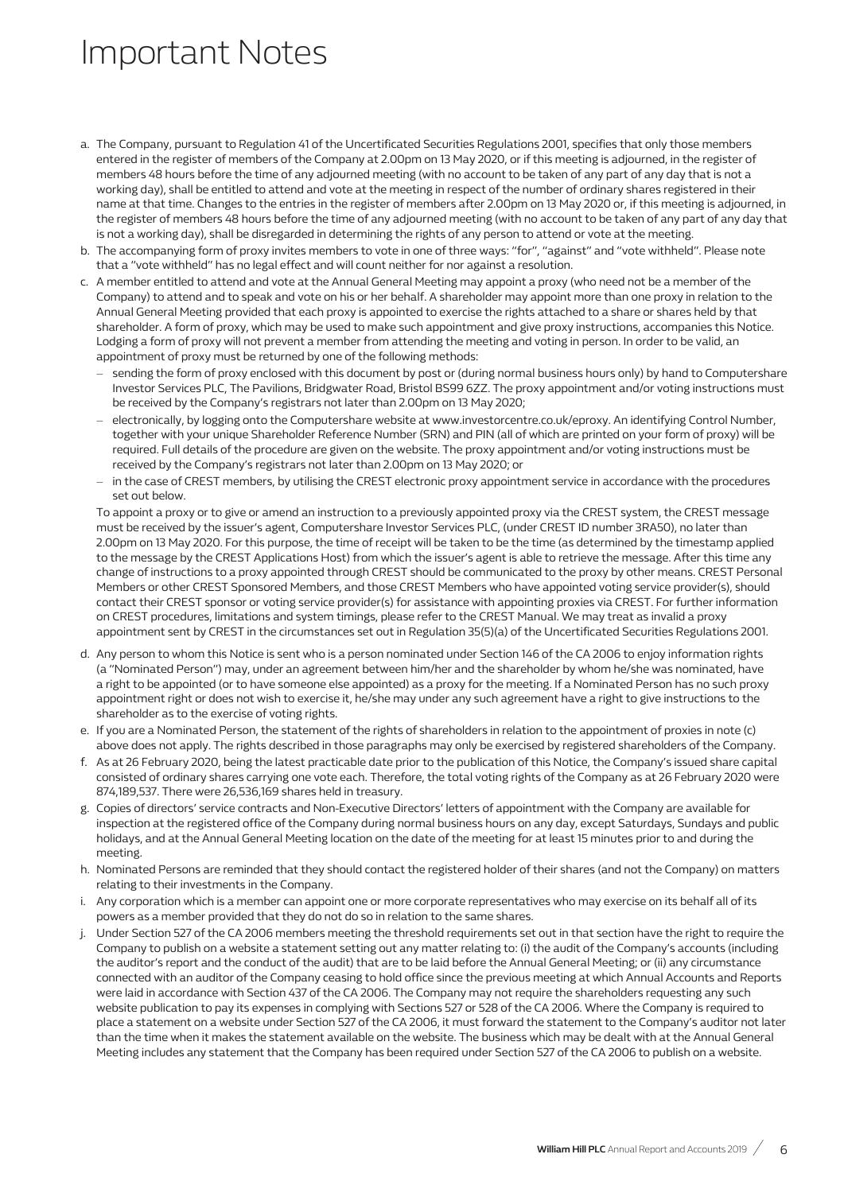## Important Notes

- a. The Company, pursuant to Regulation 41 of the Uncertificated Securities Regulations 2001, specifies that only those members entered in the register of members of the Company at 2.00pm on 13 May 2020, or if this meeting is adjourned, in the register of members 48 hours before the time of any adjourned meeting (with no account to be taken of any part of any day that is not a working day), shall be entitled to attend and vote at the meeting in respect of the number of ordinary shares registered in their name at that time. Changes to the entries in the register of members after 2.00pm on 13 May 2020 or, if this meeting is adjourned, in the register of members 48 hours before the time of any adjourned meeting (with no account to be taken of any part of any day that is not a working day), shall be disregarded in determining the rights of any person to attend or vote at the meeting.
- b. The accompanying form of proxy invites members to vote in one of three ways: "for", "against" and "vote withheld". Please note that a "vote withheld" has no legal effect and will count neither for nor against a resolution.
- c. A member entitled to attend and vote at the Annual General Meeting may appoint a proxy (who need not be a member of the Company) to attend and to speak and vote on his or her behalf. A shareholder may appoint more than one proxy in relation to the Annual General Meeting provided that each proxy is appointed to exercise the rights attached to a share or shares held by that shareholder. A form of proxy, which may be used to make such appointment and give proxy instructions, accompanies this Notice. Lodging a form of proxy will not prevent a member from attending the meeting and voting in person. In order to be valid, an appointment of proxy must be returned by one of the following methods:
	- sending the form of proxy enclosed with this document by post or (during normal business hours only) by hand to Computershare Investor Services PLC, The Pavilions, Bridgwater Road, Bristol BS99 6ZZ. The proxy appointment and/or voting instructions must be received by the Company's registrars not later than 2.00pm on 13 May 2020;
	- electronically, by logging onto the Computershare website at www.investorcentre.co.uk/eproxy. An identifying Control Number, together with your unique Shareholder Reference Number (SRN) and PIN (all of which are printed on your form of proxy) will be required. Full details of the procedure are given on the website. The proxy appointment and/or voting instructions must be received by the Company's registrars not later than 2.00pm on 13 May 2020; or
	- in the case of CREST members, by utilising the CREST electronic proxy appointment service in accordance with the procedures set out below.

To appoint a proxy or to give or amend an instruction to a previously appointed proxy via the CREST system, the CREST message must be received by the issuer's agent, Computershare Investor Services PLC, (under CREST ID number 3RA50), no later than 2.00pm on 13 May 2020. For this purpose, the time of receipt will be taken to be the time (as determined by the timestamp applied to the message by the CREST Applications Host) from which the issuer's agent is able to retrieve the message. After this time any change of instructions to a proxy appointed through CREST should be communicated to the proxy by other means. CREST Personal Members or other CREST Sponsored Members, and those CREST Members who have appointed voting service provider(s), should contact their CREST sponsor or voting service provider(s) for assistance with appointing proxies via CREST. For further information on CREST procedures, limitations and system timings, please refer to the CREST Manual. We may treat as invalid a proxy appointment sent by CREST in the circumstances set out in Regulation 35(5)(a) of the Uncertificated Securities Regulations 2001.

- d. Any person to whom this Notice is sent who is a person nominated under Section 146 of the CA 2006 to enjoy information rights (a "Nominated Person") may, under an agreement between him/her and the shareholder by whom he/she was nominated, have a right to be appointed (or to have someone else appointed) as a proxy for the meeting. If a Nominated Person has no such proxy appointment right or does not wish to exercise it, he/she may under any such agreement have a right to give instructions to the shareholder as to the exercise of voting rights.
- e. If you are a Nominated Person, the statement of the rights of shareholders in relation to the appointment of proxies in note (c) above does not apply. The rights described in those paragraphs may only be exercised by registered shareholders of the Company.
- f. As at 26 February 2020, being the latest practicable date prior to the publication of this Notice, the Company's issued share capital consisted of ordinary shares carrying one vote each. Therefore, the total voting rights of the Company as at 26 February 2020 were 874,189,537. There were 26,536,169 shares held in treasury.
- g. Copies of directors' service contracts and Non-Executive Directors' letters of appointment with the Company are available for inspection at the registered office of the Company during normal business hours on any day, except Saturdays, Sundays and public holidays, and at the Annual General Meeting location on the date of the meeting for at least 15 minutes prior to and during the meeting.
- h. Nominated Persons are reminded that they should contact the registered holder of their shares (and not the Company) on matters relating to their investments in the Company.
- i. Any corporation which is a member can appoint one or more corporate representatives who may exercise on its behalf all of its powers as a member provided that they do not do so in relation to the same shares.
- j. Under Section 527 of the CA 2006 members meeting the threshold requirements set out in that section have the right to require the Company to publish on a website a statement setting out any matter relating to: (i) the audit of the Company's accounts (including the auditor's report and the conduct of the audit) that are to be laid before the Annual General Meeting; or (ii) any circumstance connected with an auditor of the Company ceasing to hold office since the previous meeting at which Annual Accounts and Reports were laid in accordance with Section 437 of the CA 2006. The Company may not require the shareholders requesting any such website publication to pay its expenses in complying with Sections 527 or 528 of the CA 2006. Where the Company is required to place a statement on a website under Section 527 of the CA 2006, it must forward the statement to the Company's auditor not later than the time when it makes the statement available on the website. The business which may be dealt with at the Annual General Meeting includes any statement that the Company has been required under Section 527 of the CA 2006 to publish on a website.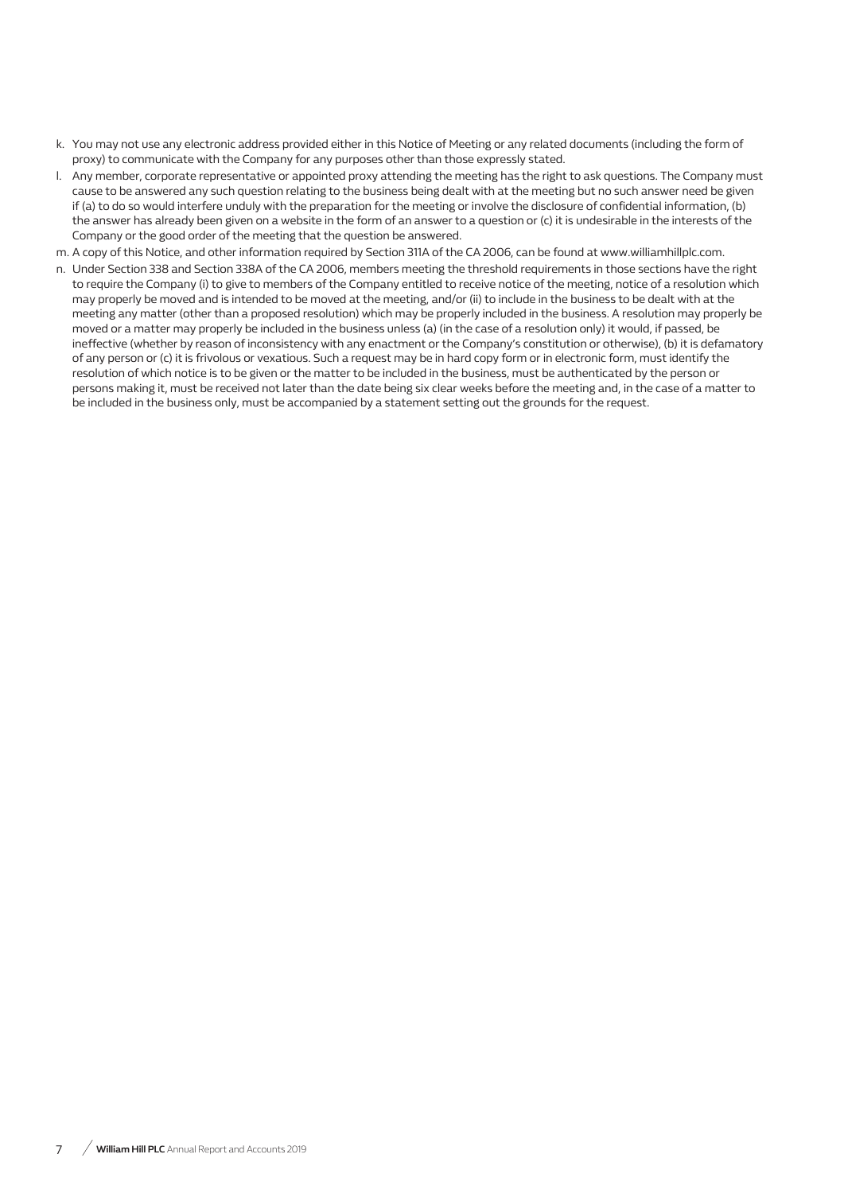- k. You may not use any electronic address provided either in this Notice of Meeting or any related documents (including the form of proxy) to communicate with the Company for any purposes other than those expressly stated.
- l. Any member, corporate representative or appointed proxy attending the meeting has the right to ask questions. The Company must cause to be answered any such question relating to the business being dealt with at the meeting but no such answer need be given if (a) to do so would interfere unduly with the preparation for the meeting or involve the disclosure of confidential information, (b) the answer has already been given on a website in the form of an answer to a question or (c) it is undesirable in the interests of the Company or the good order of the meeting that the question be answered.
- m. A copy of this Notice, and other information required by Section 311A of the CA 2006, can be found at www.williamhillplc.com.
- n. Under Section 338 and Section 338A of the CA 2006, members meeting the threshold requirements in those sections have the right to require the Company (i) to give to members of the Company entitled to receive notice of the meeting, notice of a resolution which may properly be moved and is intended to be moved at the meeting, and/or (ii) to include in the business to be dealt with at the meeting any matter (other than a proposed resolution) which may be properly included in the business. A resolution may properly be moved or a matter may properly be included in the business unless (a) (in the case of a resolution only) it would, if passed, be ineffective (whether by reason of inconsistency with any enactment or the Company's constitution or otherwise), (b) it is defamatory of any person or (c) it is frivolous or vexatious. Such a request may be in hard copy form or in electronic form, must identify the resolution of which notice is to be given or the matter to be included in the business, must be authenticated by the person or persons making it, must be received not later than the date being six clear weeks before the meeting and, in the case of a matter to be included in the business only, must be accompanied by a statement setting out the grounds for the request.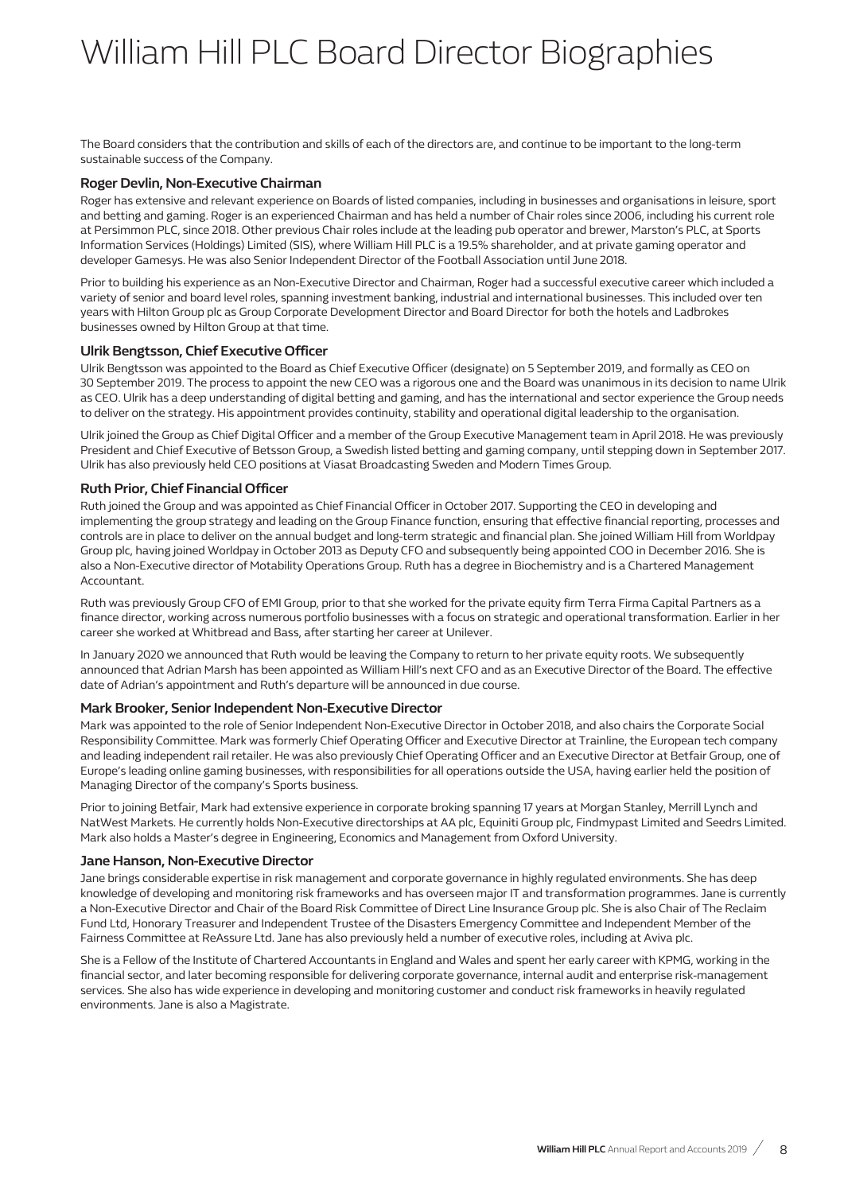# William Hill PLC Board Director Biographies

The Board considers that the contribution and skills of each of the directors are, and continue to be important to the long-term sustainable success of the Company.

#### **Roger Devlin, Non-Executive Chairman**

Roger has extensive and relevant experience on Boards of listed companies, including in businesses and organisations in leisure, sport and betting and gaming. Roger is an experienced Chairman and has held a number of Chair roles since 2006, including his current role at Persimmon PLC, since 2018. Other previous Chair roles include at the leading pub operator and brewer, Marston's PLC, at Sports Information Services (Holdings) Limited (SIS), where William Hill PLC is a 19.5% shareholder, and at private gaming operator and developer Gamesys. He was also Senior Independent Director of the Football Association until June 2018.

Prior to building his experience as an Non-Executive Director and Chairman, Roger had a successful executive career which included a variety of senior and board level roles, spanning investment banking, industrial and international businesses. This included over ten years with Hilton Group plc as Group Corporate Development Director and Board Director for both the hotels and Ladbrokes businesses owned by Hilton Group at that time.

#### **Ulrik Bengtsson, Chief Executive Officer**

Ulrik Bengtsson was appointed to the Board as Chief Executive Officer (designate) on 5 September 2019, and formally as CEO on 30 September 2019. The process to appoint the new CEO was a rigorous one and the Board was unanimous in its decision to name Ulrik as CEO. Ulrik has a deep understanding of digital betting and gaming, and has the international and sector experience the Group needs to deliver on the strategy. His appointment provides continuity, stability and operational digital leadership to the organisation.

Ulrik joined the Group as Chief Digital Officer and a member of the Group Executive Management team in April 2018. He was previously President and Chief Executive of Betsson Group, a Swedish listed betting and gaming company, until stepping down in September 2017. Ulrik has also previously held CEO positions at Viasat Broadcasting Sweden and Modern Times Group.

### **Ruth Prior, Chief Financial Officer**

Ruth joined the Group and was appointed as Chief Financial Officer in October 2017. Supporting the CEO in developing and implementing the group strategy and leading on the Group Finance function, ensuring that effective financial reporting, processes and controls are in place to deliver on the annual budget and long-term strategic and financial plan. She joined William Hill from Worldpay Group plc, having joined Worldpay in October 2013 as Deputy CFO and subsequently being appointed COO in December 2016. She is also a Non-Executive director of Motability Operations Group. Ruth has a degree in Biochemistry and is a Chartered Management Accountant.

Ruth was previously Group CFO of EMI Group, prior to that she worked for the private equity firm Terra Firma Capital Partners as a finance director, working across numerous portfolio businesses with a focus on strategic and operational transformation. Earlier in her career she worked at Whitbread and Bass, after starting her career at Unilever.

In January 2020 we announced that Ruth would be leaving the Company to return to her private equity roots. We subsequently announced that Adrian Marsh has been appointed as William Hill's next CFO and as an Executive Director of the Board. The effective date of Adrian's appointment and Ruth's departure will be announced in due course.

#### **Mark Brooker, Senior Independent Non-Executive Director**

Mark was appointed to the role of Senior Independent Non-Executive Director in October 2018, and also chairs the Corporate Social Responsibility Committee. Mark was formerly Chief Operating Officer and Executive Director at Trainline, the European tech company and leading independent rail retailer. He was also previously Chief Operating Officer and an Executive Director at Betfair Group, one of Europe's leading online gaming businesses, with responsibilities for all operations outside the USA, having earlier held the position of Managing Director of the company's Sports business.

Prior to joining Betfair, Mark had extensive experience in corporate broking spanning 17 years at Morgan Stanley, Merrill Lynch and NatWest Markets. He currently holds Non-Executive directorships at AA plc, Equiniti Group plc, Findmypast Limited and Seedrs Limited. Mark also holds a Master's degree in Engineering, Economics and Management from Oxford University.

#### **Jane Hanson, Non-Executive Director**

Jane brings considerable expertise in risk management and corporate governance in highly regulated environments. She has deep knowledge of developing and monitoring risk frameworks and has overseen major IT and transformation programmes. Jane is currently a Non-Executive Director and Chair of the Board Risk Committee of Direct Line Insurance Group plc. She is also Chair of The Reclaim Fund Ltd, Honorary Treasurer and Independent Trustee of the Disasters Emergency Committee and Independent Member of the Fairness Committee at ReAssure Ltd. Jane has also previously held a number of executive roles, including at Aviva plc.

She is a Fellow of the Institute of Chartered Accountants in England and Wales and spent her early career with KPMG, working in the financial sector, and later becoming responsible for delivering corporate governance, internal audit and enterprise risk-management services. She also has wide experience in developing and monitoring customer and conduct risk frameworks in heavily regulated environments. Jane is also a Magistrate.